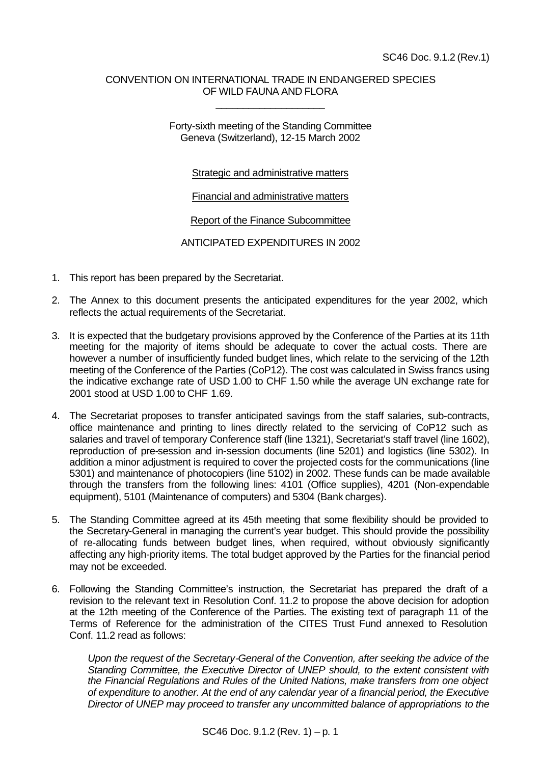## CONVENTION ON INTERNATIONAL TRADE IN ENDANGERED SPECIES OF WILD FAUNA AND FLORA

\_\_\_\_\_\_\_\_\_\_\_\_\_\_\_\_\_\_\_\_

Forty-sixth meeting of the Standing Committee Geneva (Switzerland), 12-15 March 2002

## Strategic and administrative matters

Financial and administrative matters

Report of the Finance Subcommittee

ANTICIPATED EXPENDITURES IN 2002

- 1. This report has been prepared by the Secretariat.
- 2. The Annex to this document presents the anticipated expenditures for the year 2002, which reflects the actual requirements of the Secretariat.
- 3. It is expected that the budgetary provisions approved by the Conference of the Parties at its 11th meeting for the majority of items should be adequate to cover the actual costs. There are however a number of insufficiently funded budget lines, which relate to the servicing of the 12th meeting of the Conference of the Parties (CoP12). The cost was calculated in Swiss francs using the indicative exchange rate of USD 1.00 to CHF 1.50 while the average UN exchange rate for 2001 stood at USD 1.00 to CHF 1.69.
- 4. The Secretariat proposes to transfer anticipated savings from the staff salaries, sub-contracts, office maintenance and printing to lines directly related to the servicing of CoP12 such as salaries and travel of temporary Conference staff (line 1321), Secretariat's staff travel (line 1602), reproduction of pre-session and in-session documents (line 5201) and logistics (line 5302). In addition a minor adjustment is required to cover the projected costs for the communications (line 5301) and maintenance of photocopiers (line 5102) in 2002. These funds can be made available through the transfers from the following lines: 4101 (Office supplies), 4201 (Non-expendable equipment), 5101 (Maintenance of computers) and 5304 (Bank charges).
- 5. The Standing Committee agreed at its 45th meeting that some flexibility should be provided to the Secretary-General in managing the current's year budget. This should provide the possibility of re-allocating funds between budget lines, when required, without obviously significantly affecting any high-priority items. The total budget approved by the Parties for the financial period may not be exceeded.
- 6. Following the Standing Committee's instruction, the Secretariat has prepared the draft of a revision to the relevant text in Resolution Conf. 11.2 to propose the above decision for adoption at the 12th meeting of the Conference of the Parties. The existing text of paragraph 11 of the Terms of Reference for the administration of the CITES Trust Fund annexed to Resolution Conf. 11.2 read as follows:

*Upon the request of the Secretary-General of the Convention, after seeking the advice of the Standing Committee, the Executive Director of UNEP should, to the extent consistent with the Financial Regulations and Rules of the United Nations, make transfers from one object of expenditure to another. At the end of any calendar year of a financial period, the Executive Director of UNEP may proceed to transfer any uncommitted balance of appropriations to the*